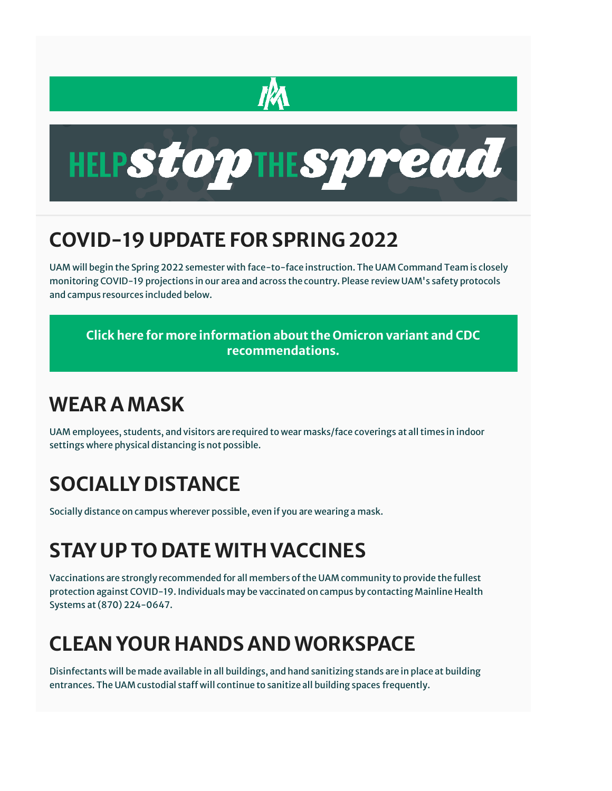



## **COVID-19 UPDATE FOR SPRING 2022**

UAM will begin the Spring 2022 semester with face-to-face instruction. The UAM Command Team is closely monitoring COVID-19 projections in our area and across the country. Please review UAM's safety protocols and campus resources included below.

**[Click here for more information about the Omicron variant and CDC](https://www.cdc.gov/coronavirus/2019-ncov/index.html)  [recommendations.](https://www.cdc.gov/coronavirus/2019-ncov/index.html)**

### **WEAR A MASK**

UAM employees, students, and visitors are required to wear masks/face coverings at all times in indoor settings where physical distancing is not possible.

# **SOCIALLY DISTANCE**

Socially distance on campus wherever possible, even if you are wearing a mask.

# **STAY UP TO DATE WITH VACCINES**

Vaccinations are strongly recommended for all members of the UAM community to provide the fullest protection against COVID-19. Individuals may be vaccinated on campus by contacting Mainline Health Systems at (870) 224-0647.

## **CLEAN YOUR HANDS AND WORKSPACE**

Disinfectants will be made available in all buildings, and hand sanitizing stands are in place at building entrances. The UAM custodial staff will continue to sanitize all building spaces frequently.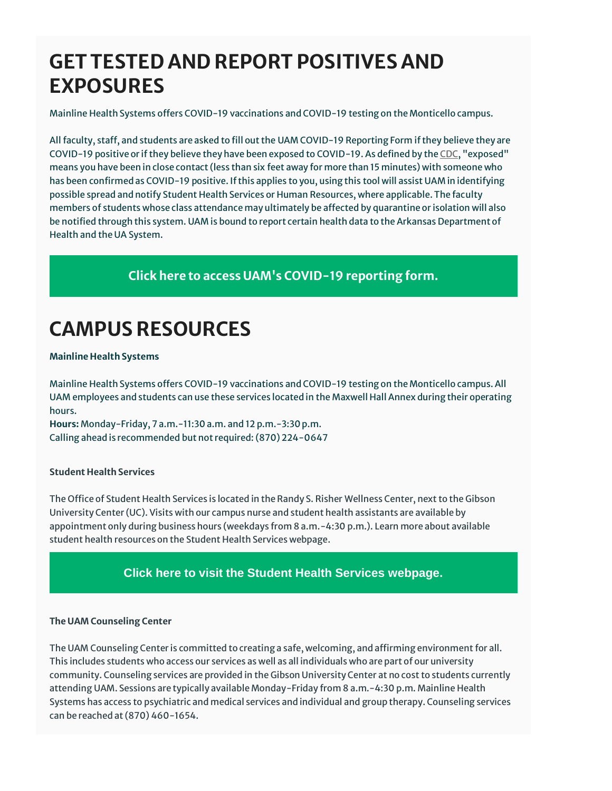### **GET TESTED AND REPORT POSITIVES AND EXPOSURES**

Mainline Health Systems offers COVID-19 vaccinations and COVID-19 testing on the Monticello campus.

All faculty, staff, and students are asked to fill out the UAM COVID-19 Reporting Form if they believe they are COVID-19 positive or if they believe they have been exposed to COVID-19. As defined by the [CDC,](https://linkprotect.cudasvc.com/url?a=https%3a%2f%2fuamont.us12.list-manage.com%2ftrack%2fclick%3fu%3df1a2a8bb2963e7698fc7be83d%26id%3d14f571d158%26e%3d6ac2c52ce0&c=E,1,7_e5824iTXuO6S4mhXTUuccFxNglurLRGCA_SnKmbEdNmGL__u3Sm2zDiJjZU3eElQCVbINQ_eQvNvFHY9KaeeLb0EjDeDUAgRorp4qOFdozqsFVgg-FD3ADSw,,&typo=1) "exposed" means you have been in close contact (less than six feet away for more than 15 minutes) with someone who has been confirmed as COVID-19 positive. If this applies to you, using this tool will assist UAM in identifying possible spread and notify Student Health Services or Human Resources, where applicable. The faculty members of students whose class attendance may ultimately be affected by quarantine or isolation will also be notified through this system. UAM is bound to report certain health data to the Arkansas Department of Health and the UA System.

### **[Click here to access UAM's COVID-19 reporting form.](https://cm.maxient.com/reportingform.php?UnivofArkansasMonticello&layout_id=5)**

## **CAMPUS RESOURCES**

#### **Mainline Health Systems**

Mainline Health Systems offers COVID-19 vaccinations and COVID-19 testing on the Monticello campus. All UAM employees and students can use these services located in the Maxwell Hall Annex during their operating hours.

**Hours:** Monday-Friday, 7 a.m.-11:30 a.m. and 12 p.m.-3:30 p.m. Calling ahead is recommended but not required: (870) 224-0647

#### **Student Health Services**

The Office of Student Health Services is located in the Randy S. Risher Wellness Center, next to the Gibson University Center (UC). Visits with our campus nurse and student health assistants are available by appointment only during business hours (weekdays from 8 a.m.-4:30 p.m.). Learn more about available student health resources on the Student Health Services webpage.

### **[Click here to visit the Student Health Services webpage.](https://www.uamont.edu/life/health.html)**

#### **The UAM Counseling Center**

The UAM Counseling Center is committed to creating a safe, welcoming, and affirming environment for all. This includes students who access our services as well as all individuals who are part of our university community. Counseling services are provided in the Gibson University Center at no cost to students currently attending UAM. Sessions are typically available Monday-Friday from 8 a.m.-4:30 p.m. Mainline Health Systems has access to psychiatric and medical services and individual and group therapy. Counseling services can be reached at (870) 460-1654.